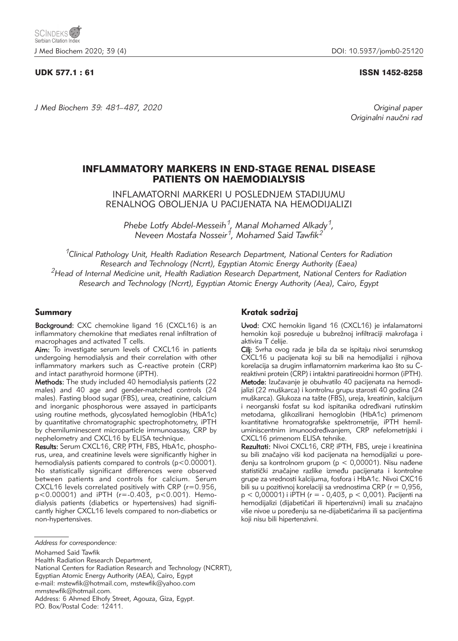## UDK 577.1 : 61 ISSN 1452-8258

*J Med Biochem 39: 481–487, 2020 Original paper*

Originalni naučni rad

# INFLAMMATORY MARKERS IN END-STAGE RENAL DISEASE PATIENTS ON HAEMODIALYSIS

INFLAMATORNI MARKERI U POSLEDNJEM STADIJUMU RENALNOG OBOLJENJA U PACIJENATA NA HEMODIJALIZI

*Phebe Lotfy Abdel-Messeih1, Manal Mohamed Alkady1, Neveen Mostafa Nosseir1, Mohamed Said Tawfik2*

*1Clinical Pathology Unit, Health Radiation Research Department, National Centers for Radiation Research and Technology (Ncrrt), Egyptian Atomic Energy Authority (Eaea) 2Head of Internal Medicine unit, Health Radiation Research Department, National Centers for Radiation Research and Technology (Ncrrt), Egyptian Atomic Energy Authority (Aea), Cairo, Egypt* 

## Summary

Background: CXC chemokine ligand 16 (CXCL16) is an inflammatory chemokine that mediates renal infiltration of macrophages and activated T cells.

Aim: To investigate serum levels of CXCL16 in patients undergoing hemodialysis and their correlation with other inflammatory markers such as C-reactive protein (CRP) and intact parathyroid hormone (iPTH).

Methods: The study included 40 hemodialysis patients (22 males) and 40 age and gender-matched controls (24 males). Fasting blood sugar (FBS), urea, creatinine, calcium and inorganic phosphorous were assayed in participants using routine methods, glycosylated hemoglobin (HbA1c) by quantitative chromatographic spectrophotometry, iPTH by chemiluminescent microparticle immunoassay, CRP by nephelometry and CXCL16 by ELISA technique.

Results: Serum CXCL16, CRP, PTH, FBS, HbA1c, phosphorus, urea, and creatinine levels were significantly higher in hemodialysis patients compared to controls ( $p < 0.00001$ ). No statistically significant differences were observed between patients and controls for calcium. Serum CXCL16 levels correlated positively with CRP (r=0.956, p<0.00001) and iPTH (r=-0.403, p<0.001). Hemodialysis patients (diabetics or hypertensives) had significantly higher CXCL16 levels compared to non-diabetics or non-hypertensives.

## Kratak sadržaj

Uvod: CXC hemokin ligand 16 (CXCL16) je infalamatorni hemokin koji posreduje u bubrežnoj infiltraciji makrofaga i aktivira T ćelije.

Cilj: Svrha ovog rada je bila da se ispitaju nivoi serumskog CXCL16 u pacijenata koji su bili na hemodijalizi i njihova korelacija sa drugim inflamatornim markerima kao što su Creaktivni protein (CRP) i intaktni paratireoidni hormon (iPTH). Metode: Izučavanje je obuhvatilo 40 pacijenata na hemodijalizi (22 mu{karca) i kontrolnu grupu starosti 40 godina (24 muškarca). Glukoza na tašte (FBS), ureja, kreatinin, kalcijum i neorganski fosfat su kod ispitanika određivani rutinskim metodama, glikozilirani hemoglobin (HbA1c) primenom kvantitativne hromatografske spektrometrije, iPTH hemiluminiscentnim imunoodređivanjem, CRP nefelometrijski i CXCL16 primenom ELISA tehnike.

Rezultati: Nivoi CXCL16, CRP, iPTH, FBS, ureje i kreatinina su bili značajno viši kod pacijenata na hemodijalizi u poređenju sa kontrolnom grupom ( $p < 0,00001$ ). Nisu nađene statistički značajne razlike između pacijenata i kontrolne grupe za vrednosti kalcijuma, fosfora i HbA1c. Nivoi CXC16 bili su u pozitivnoj korelaciji sa vrednostima CRP ( $r = 0.956$ , p < 0,00001) i iPTH (r = - 0,403, p < 0,001). Pacijenti na hemodijalizi (dijabetičari ili hipertenzivni) imali su značajno više nivoe u poređenju sa ne-dijabetičarima ili sa pacijentima koji nisu bili hipertenzivni.

National Centers for Radiation Research and Technology (NCRRT),

*Address for correspondence:*

Mohamed Said Tawfik

Health Radiation Research Department,

Egyptian Atomic Energy Authority (AEA), Cairo, Egypt e-mail: mstewfik@hotmail.com, mstewfik@yahoo.com

mmstewfik@hotmail.com.

Address: 6 Ahmed Elhofy Street, Agouza, Giza, Egypt. P.O. Box/Postal Code: 12411.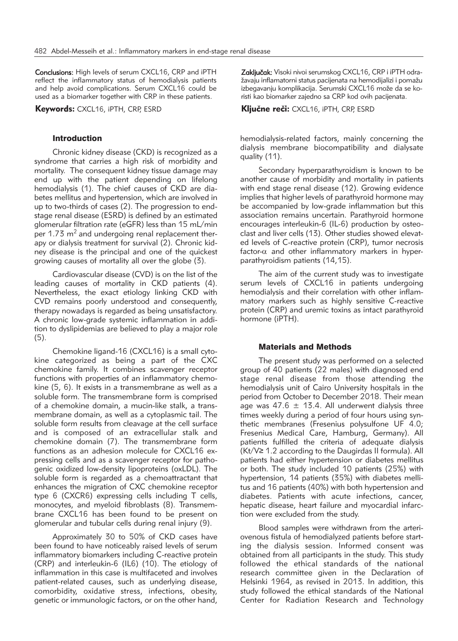Conclusions: High levels of serum CXCL16, CRP and iPTH reflect the inflammatory status of hemodialysis patients and help avoid complications. Serum CXCL16 could be used as a biomarker together with CRP in these patients.

Keywords: CXCL16, iPTH, CRP, ESRD

## **Introduction**

Chronic kidney disease (CKD) is recognized as a syndrome that carries a high risk of morbidity and mortality. The consequent kidney tissue damage may end up with the patient depending on lifelong hemodialysis (1). The chief causes of CKD are diabetes mellitus and hypertension, which are involved in up to two-thirds of cases (2). The progression to endstage renal disease (ESRD) is defined by an estimated glomerular filtration rate (eGFR) less than 15 mL/min per 1.73  $m<sup>2</sup>$  and undergoing renal replacement therapy or dialysis treatment for survival (2). Chronic kidney disease is the principal and one of the quickest growing causes of mortality all over the globe (3).

Cardiovascular disease (CVD) is on the list of the leading causes of mortality in CKD patients (4). Nevertheless, the exact etiology linking CKD with CVD remains poorly understood and consequently, therapy nowadays is regarded as being unsatisfactory. A chronic low-grade systemic inflammation in addition to dyslipidemias are believed to play a major role (5).

Chemokine ligand-16 (CXCL16) is a small cytokine categorized as being a part of the CXC chemokine family. It combines scavenger receptor functions with properties of an inflammatory chemokine (5, 6). It exists in a transmembrane as well as a soluble form. The transmembrane form is comprised of a chemokine domain, a mucin-like stalk, a transmembrane domain, as well as a cytoplasmic tail. The soluble form results from cleavage at the cell surface and is composed of an extracellular stalk and chemokine domain (7). The transmembrane form functions as an adhesion molecule for CXCL16 expressing cells and as a scavenger receptor for pathogenic oxidized low-density lipoproteins (oxLDL). The soluble form is regarded as a chemoattractant that enhances the migration of CXC chemokine receptor type 6 (CXCR6) expressing cells including T cells, monocytes, and myeloid fibroblasts (8). Transmembrane CXCL16 has been found to be present on glomerular and tubular cells during renal injury (9).

Approximately 30 to 50% of CKD cases have been found to have noticeably raised levels of serum inflammatory biomarkers including C-reactive protein (CRP) and interleukin-6 (IL6) (10). The etiology of inflammation in this case is multifaceted and involves patient-related causes, such as underlying disease, comorbidity, oxidative stress, infections, obesity, genetic or immunologic factors, or on the other hand, Zaključak: Visoki nivoi serumskog CXCL16, CRP i iPTH odražavaju inflamatorni status pacijenata na hemodijalizi i pomažu izbegavanju komplikacija. Serumski CXCL16 može da se koristi kao biomarker zajedno sa CRP kod ovih pacijenata.

Kliučne reči: CXCL16, iPTH, CRP, ESRD

hemodialysis-related factors, mainly concerning the dialysis membrane biocompatibility and dialysate quality (11).

Secondary hyperparathyroidism is known to be another cause of morbidity and mortality in patients with end stage renal disease (12). Growing evidence implies that higher levels of parathyroid hormone may be accompanied by low-grade inflammation but this association remains uncertain. Parathyroid hormone encourages interleukin-6 (IL-6) production by osteoclast and liver cells (13). Other studies showed elevated levels of C-reactive protein (CRP), tumor necrosis factor- $\alpha$  and other inflammatory markers in hyperparathyroidism patients (14,15).

The aim of the current study was to investigate serum levels of CXCL16 in patients undergoing hemodialysis and their correlation with other inflammatory markers such as highly sensitive C-reactive protein (CRP) and uremic toxins as intact parathyroid hormone (iPTH).

## Materials and Methods

The present study was performed on a selected group of 40 patients (22 males) with diagnosed end stage renal disease from those attending the hemodialysis unit of Cairo University hospitals in the period from October to December 2018. Their mean age was 47.6  $\pm$  13.4. All underwent dialysis three times weekly during a period of four hours using synthetic membranes (Fresenius polysulfone UF 4.0; Fresenius Medical Care, Hamburg, Germany). All patients fulfilled the criteria of adequate dialysis (Kt/V≥ 1.2 according to the Daugirdas II formula). All patients had either hypertension or diabetes mellitus or both. The study included 10 patients (25%) with hypertension, 14 patients (35%) with diabetes mellitus and 16 patients (40%) with both hypertension and diabetes. Patients with acute infections, cancer, hepatic disease, heart failure and myocardial infarction were excluded from the study.

Blood samples were withdrawn from the arteriovenous fistula of hemodialyzed patients before starting the dialysis session. Informed consent was obtained from all participants in the study. This study followed the ethical standards of the national research committee given in the Declaration of Helsinki 1964, as revised in 2013. In addition, this study followed the ethical standards of the National Center for Radiation Research and Technology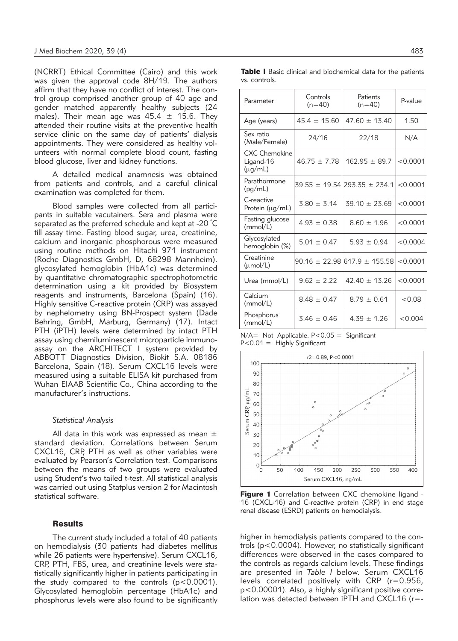(NCRRT) Ethical Committee (Cairo) and this work was given the approval code 8H/19. The authors affirm that they have no conflict of interest. The control group comprised another group of 40 age and gender matched apparently healthy subjects (24 males). Their mean age was  $45.4 \pm 15.6$ . They attended their routine visits at the preventive health service clinic on the same day of patients' dialysis appointments. They were considered as healthy volunteers with normal complete blood count, fasting blood glucose, liver and kidney functions.

A detailed medical anamnesis was obtained from patients and controls, and a careful clinical examination was completed for them.

Blood samples were collected from all participants in suitable vacutainers. Sera and plasma were separated as the preferred schedule and kept at -20  $^{\circ} \mathsf{C}$ till assay time. Fasting blood sugar, urea, creatinine, calcium and inorganic phosphorous were measured using routine methods on Hitachi 971 instrument (Roche Diagnostics GmbH, D, 68298 Mannheim). glycosylated hemoglobin (HbA1c) was determined by quantitative chromatographic spectrophotometric determination using a kit provided by Biosystem reagents and instruments, Barcelona (Spain) (16). Highly sensitive C-reactive protein (CRP) was assayed by nephelometry using BN-Prospect system (Dade Behring, GmbH, Marburg, Germany) (17). Intact PTH (iPTH) levels were determined by intact PTH assay using chemiluminescent microparticle immunoassay on the ARCHITECT I system provided by ABBOTT Diagnostics Division, Biokit S.A. 08186 Barcelona, Spain (18). Serum CXCL16 levels were measured using a suitable ELISA kit purchased from Wuhan EIAAB Scientific Co., China according to the manufacturer's instructions.

#### *Statistical Analysis*

All data in this work was expressed as mean  $\pm$ standard deviation. Correlations between Serum CXCL16, CRP, PTH as well as other variables were evaluated by Pearson's Correlation test. Comparisons between the means of two groups were evaluated using Student's two tailed t-test. All statistical analysis was carried out using Statplus version 2 for Macintosh statistical software.

#### **Results**

The current study included a total of 40 patients on hemodialysis (30 patients had diabetes mellitus while 26 patients were hypertensive). Serum CXCL16, CRP, PTH, FBS, urea, and creatinine levels were statistically significantly higher in patients participating in the study compared to the controls  $(p<0.0001)$ . Glycosylated hemoglobin percentage (HbA1c) and phosphorus levels were also found to be significantly

|               |  | Table I Basic clinical and biochemical data for the patients |  |  |
|---------------|--|--------------------------------------------------------------|--|--|
| vs. controls. |  |                                                              |  |  |

| Controls<br>$(n=40)$ | Patients<br>$(n=40)$ | P-value                                                                      |
|----------------------|----------------------|------------------------------------------------------------------------------|
| $45.4 \pm 15.60$     | $47.60 \pm 13.40$    | 1.50                                                                         |
| 24/16                | 22/18                | N/A                                                                          |
| $46.75 \pm 7.78$     | $162.95 \pm 89.7$    | < 0.0001                                                                     |
|                      |                      | < 0.0001                                                                     |
| $3.80 \pm 3.14$      | $39.10 \pm 23.69$    | < 0.0001                                                                     |
| $4.93 \pm 0.38$      | $8.60 \pm 1.96$      | < 0.0001                                                                     |
| $5.01 \pm 0.47$      | $5.93 \pm 0.94$      | < 0.0004                                                                     |
|                      |                      | < 0.0001                                                                     |
| $9.62 \pm 2.22$      | $42.40 \pm 13.26$    | < 0.0001                                                                     |
| $8.48 \pm 0.47$      | $8.79 \pm 0.61$      | < 0.08                                                                       |
| $3.46 \pm 0.46$      | $4.39 \pm 1.26$      | < 0.004                                                                      |
|                      |                      | $39.55 \pm 19.54$ 293.35 $\pm$ 234.1<br>$90.16 \pm 22.98$ 617.9 $\pm$ 155.58 |

N/A= Not Applicable. P<0.05 = Significant P<0.01 = Highly Significant



Figure 1 Correlation between CXC chemokine ligand -16 (CXCL-16) and C-reactive protein (CRP) in end stage renal disease (ESRD) patients on hemodialysis.

higher in hemodialysis patients compared to the controls (p<0.0004). However, no statistically significant differences were observed in the cases compared to the controls as regards calcium levels. These findings are presented in *Table I* below. Serum CXCL16 levels correlated positively with CRP (r=0.956, p<0.00001). Also, a highly significant positive correlation was detected between iPTH and CXCL16 (r=-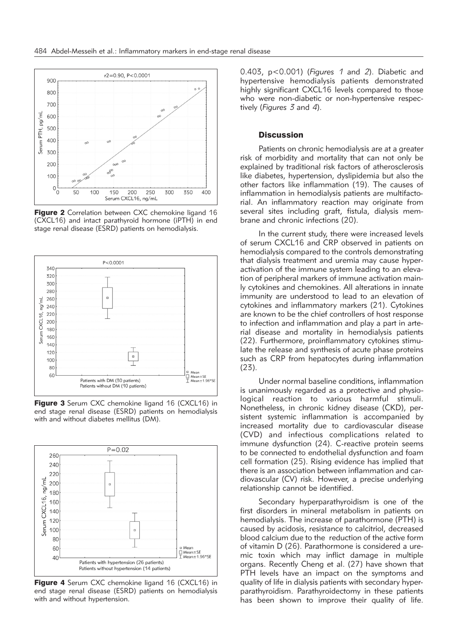

Figure 2 Correlation between CXC chemokine ligand 16 (CXCL16) and intact parathyroid hormone (iPTH) in end stage renal disease (ESRD) patients on hemodialysis.



Figure 3 Serum CXC chemokine ligand 16 (CXCL16) in end stage renal disease (ESRD) patients on hemodialysis with and without diabetes mellitus (DM).



**Figure 4** Serum CXC chemokine ligand 16 (CXCL16) in end stage renal disease (ESRD) patients on hemodialysis with and without hypertension.

0.403, p<0.001) (*Figures 1* and *2*). Diabetic and hypertensive hemodialysis patients demonstrated highly significant CXCL16 levels compared to those who were non-diabetic or non-hypertensive respectively (*Figures 3* and *4*).

## **Discussion**

Patients on chronic hemodialysis are at a greater risk of morbidity and mortality that can not only be explained by traditional risk factors of atherosclerosis like diabetes, hypertension, dyslipidemia but also the other factors like inflammation (19). The causes of inflammation in hemodialysis patients are multifactorial. An inflammatory reaction may originate from several sites including graft, fistula, dialysis membrane and chronic infections (20).

In the current study, there were increased levels of serum CXCL16 and CRP observed in patients on hemodialysis compared to the controls demonstrating that dialysis treatment and uremia may cause hyperactivation of the immune system leading to an elevation of peripheral markers of immune activation mainly cytokines and chemokines. All alterations in innate immunity are understood to lead to an elevation of cytokines and inflammatory markers (21). Cytokines are known to be the chief controllers of host response to infection and inflammation and play a part in arterial disease and mortality in hemodialysis patients (22). Furthermore, proinflammatory cytokines stimulate the release and synthesis of acute phase proteins such as CRP from hepatocytes during inflammation (23).

Under normal baseline conditions, inflammation is unanimously regarded as a protective and physiological reaction to various harmful stimuli. Nonetheless, in chronic kidney disease (CKD), persistent systemic inflammation is accompanied by increased mortality due to cardiovascular disease (CVD) and infectious complications related to immune dysfunction (24). C-reactive protein seems to be connected to endothelial dysfunction and foam cell formation (25). Rising evidence has implied that there is an association between inflammation and cardiovascular (CV) risk. However, a precise underlying relationship cannot be identified.

Secondary hyperparathyroidism is one of the first disorders in mineral metabolism in patients on hemodialysis. The increase of parathormone (PTH) is caused by acidosis, resistance to calcitriol, decreased blood calcium due to the reduction of the active form of vitamin D (26). Parathormone is considered a uremic toxin which may inflict damage in multiple organs. Recently Cheng et al. (27) have shown that PTH levels have an impact on the symptoms and quality of life in dialysis patients with secondary hyperparathyroidism. Parathyroidectomy in these patients has been shown to improve their quality of life.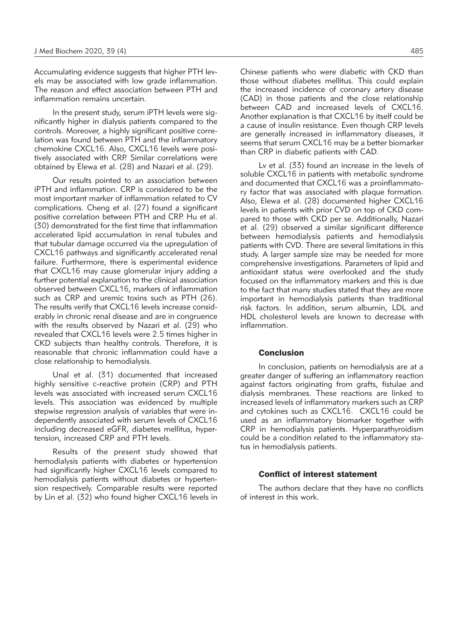Accumulating evidence suggests that higher PTH levels may be associated with low grade inflammation. The reason and effect association between PTH and inflammation remains uncertain.

In the present study, serum iPTH levels were significantly higher in dialysis patients compared to the controls. Moreover, a highly significant positive correlation was found between PTH and the inflammatory chemokine CXCL16. Also, CXCL16 levels were positively associated with CRP. Similar correlations were obtained by Elewa et al. (28) and Nazari et al. (29).

Our results pointed to an association between iPTH and inflammation. CRP is considered to be the most important marker of inflammation related to CV complications. Cheng et al. (27) found a significant positive correlation between PTH and CRP. Hu et al. (30) demonstrated for the first time that inflammation accelerated lipid accumulation in renal tubules and that tubular damage occurred via the upregulation of CXCL16 pathways and significantly accelerated renal failure. Furthermore, there is experimental evidence that CXCL16 may cause glomerular injury adding a further potential explanation to the clinical association observed between CXCL16, markers of inflammation such as CRP and uremic toxins such as PTH (26). The results verify that CXCL16 levels increase considerably in chronic renal disease and are in congruence with the results observed by Nazari et al. (29) who revealed that CXCL16 levels were 2.5 times higher in CKD subjects than healthy controls. Therefore, it is reasonable that chronic inflammation could have a close relationship to hemodialysis.

Unal et al. (31) documented that increased highly sensitive c-reactive protein (CRP) and PTH levels was associated with increased serum CXCL16 levels. This association was evidenced by multiple stepwise regression analysis of variables that were independently associated with serum levels of CXCL16 including decreased eGFR, diabetes mellitus, hypertension, increased CRP and PTH levels.

Results of the present study showed that hemodialysis patients with diabetes or hypertension had significantly higher CXCL16 levels compared to hemodialysis patients without diabetes or hypertension respectively. Comparable results were reported by Lin et al. (32) who found higher CXCL16 levels in

Chinese patients who were diabetic with CKD than those without diabetes mellitus. This could explain the increased incidence of coronary artery disease (CAD) in those patients and the close relationship between CAD and increased levels of CXCL16. Another explanation is that CXCL16 by itself could be a cause of insulin resistance. Even though CRP levels are generally increased in inflammatory diseases, it seems that serum CXCL16 may be a better biomarker than CRP in diabetic patients with CAD.

Lv et al. (33) found an increase in the levels of soluble CXCL16 in patients with metabolic syndrome and documented that CXCL16 was a proinflammatory factor that was associated with plaque formation. Also, Elewa et al. (28) documented higher CXCL16 levels in patients with prior CVD on top of CKD compared to those with CKD per se. Additionally, Nazari et al. (29) observed a similar significant difference between hemodialysis patients and hemodialysis patients with CVD. There are several limitations in this study. A larger sample size may be needed for more comprehensive investigations. Parameters of lipid and antioxidant status were overlooked and the study focused on the inflammatory markers and this is due to the fact that many studies stated that they are more important in hemodialysis patients than traditional risk factors. In addition, serum albumin, LDL and HDL cholesterol levels are known to decrease with inflammation.

### Conclusion

In conclusion, patients on hemodialysis are at a greater danger of suffering an inflammatory reaction against factors originating from grafts, fistulae and dialysis membranes. These reactions are linked to increased levels of inflammatory markers such as CRP and cytokines such as CXCL16. CXCL16 could be used as an inflammatory biomarker together with CRP in hemodialysis patients. Hyperparathyroidism could be a condition related to the inflammatory status in hemodialysis patients.

### Conflict of interest statement

The authors declare that they have no conflicts of interest in this work.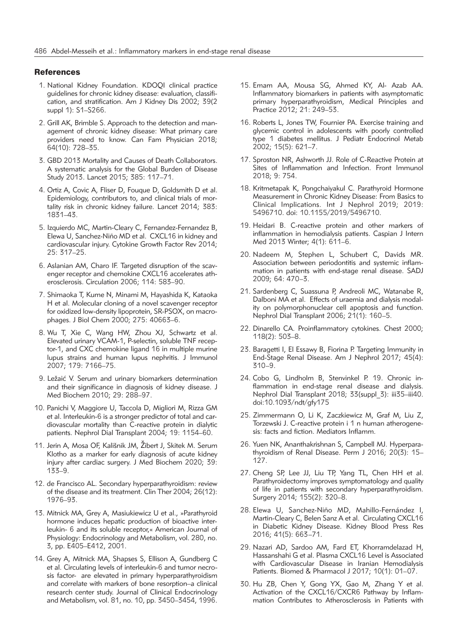## **References**

- 1. National Kidney Foundation. KDOQI clinical practice guidelines for chronic kidney disease: evaluation, classification, and stratification. Am J Kidney Dis 2002; 39(2 suppl 1): S1–S266.
- 2. Grill AK, Brimble S. Approach to the detection and management of chronic kidney disease: What primary care providers need to know. Can Fam Physician 2018; 64(10): 728–35.
- 3. GBD 2013 Mortality and Causes of Death Collaborators. A systematic analysis for the Global Burden of Disease Study 2013. Lancet 2015; 385: 117–71.
- 4. Ortiz A, Covic A, Fliser D, Fouque D, Goldsmith D et al. Epidemiology, contributors to, and clinical trials of mortality risk in chronic kidney failure. Lancet 2014; 383: 1831–43.
- 5. Izquierdo MC, Martin-Cleary C, Fernandez-Fernandez B, Elewa U, Sanchez-Niño MD et al. CXCL16 in kidney and cardiovascular injury. Cytokine Growth Factor Rev 2014; 25: 317–25.
- 6. Aslanian AM, Charo IF. Targeted disruption of the scavenger receptor and chemokine CXCL16 accelerates atherosclerosis. Circulation 2006; 114: 583–90.
- 7. Shimaoka T, Kume N, Minami M, Hayashida K, Kataoka H et al. Molecular cloning of a novel scavenger receptor for oxidized low-density lipoprotein, SR-PSOX, on macrophages. J Biol Chem 2000; 275: 40663–6.
- 8. Wu T, Xie C, Wang HW, Zhou XJ, Schwartz et al. Elevated urinary VCAM-1, P-selectin, soluble TNF receptor-1, and CXC chemokine ligand 16 in multiple murine lupus strains and human lupus nephritis. J Immunol 2007; 179: 7166–75.
- 9. Ležaić V. Serum and urinary biomarkers determination and their significance in diagnosis of kidney disease. J Med Biochem 2010; 29: 288–97.
- 10. Panichi V, Maggiore U, Taccola D, Migliori M, Rizza GM et al. Interleukin-6 is a stronger predictor of total and cardiovascular mortality than C-reactive protein in dialytic patients. Nephrol Dial Transplant 2004; 19: 1154–60.
- 11. Jerin A, Mosa OF, Kališnik JM, Žibert J, Skitek M. Serum Klotho as a marker for early diagnosis of acute kidney injury after cardiac surgery. J Med Biochem 2020; 39: 133–9.
- 12. de Francisco AL. Secondary hyperparathyroidism: review of the disease and its treatment. Clin Ther 2004; 26(12): 1976–93.
- 13. Mitnick MA, Grey A, Masiukiewicz U et al., »Parathyroid hormone induces hepatic production of bioactive interleukin- 6 and its soluble receptor,« American Journal of Physiology: Endocrinology and Metabolism, vol. 280, no. 3, pp. E405–E412, 2001.
- 14. Grey A, Mitnick MA, Shapses S, Ellison A, Gundberg C et al. Circulating levels of interleukin-6 and tumor necrosis factor- are elevated in primary hyperparathyroidism and correlate with markers of bone resorption–a clinical research center study. Journal of Clinical Endocrinology and Metabolism, vol. 81, no. 10, pp. 3450–3454, 1996.
- 15. Emam AA, Mousa SG, Ahmed KY, Al- Azab AA. Inflammatory biomarkers in patients with asymptomatic primary hyperparathyroidism, Medical Principles and Practice 2012; 21: 249–53.
- 16. Roberts L, Jones TW, Fournier PA. Exercise training and glycemic control in adolescents with poorly controlled type 1 diabetes mellitus. J Pediatr Endocrinol Metab 2002; 15(5): 621–7.
- 17. Sproston NR, Ashworth JJ. Role of C-Reactive Protein at Sites of Inflammation and Infection. Front Immunol 2018; 9: 754.
- 18. Kritmetapak K, Pongchaiyakul C. Parathyroid Hormone Measurement in Chronic Kidney Disease: From Basics to Clinical Implications. Int J Nephrol 2019; 2019: 5496710. doi: 10.1155/2019/5496710.
- 19. Heidari B. C-reactive protein and other markers of inflammation in hemodialysis patients. Caspian J Intern Med 2013 Winter; 4(1): 611–6.
- 20. Nadeem M, Stephen L, Schubert C, Davids MR. Association between periodontitis and systemic inflammation in patients with end-stage renal disease. SADJ 2009; 64: 470–3.
- 21. Sardenberg C, Suassuna P, Andreoli MC, Watanabe R, Dalboni MA et al. Effects of uraemia and dialysis modality on polymorphonuclear cell apoptosis and function. Nephrol Dial Transplant 2006; 21(1): 160–5.
- 22. Dinarello CA. Proinflammatory cytokines. Chest 2000; 118(2): 503–8.
- 23. Baragetti I, El Essawy B, Fiorina P. Targeting Immunity in End-Stage Renal Disease. Am J Nephrol 2017; 45(4): 310–9.
- 24. Cobo G, Lindholm B, Stenvinkel P. 19. Chronic inflammation in end-stage renal disease and dialysis. Nephrol Dial Transplant 2018; 33(suppl\_3): iii35–iii40. doi:10.1093/ndt/gfy175
- 25. Zimmermann O, Li K, Zaczkiewicz M, Graf M, Liu Z, Torzewski J. C-reactive protein i 1 n human atherogenesis: facts and fiction. Mediators Inflamm.
- 26. Yuen NK, Ananthakrishnan S, Campbell MJ. Hyperparathyroidism of Renal Disease. Perm J 2016; 20(3): 15– 127.
- 27. Cheng SP, Lee JJ, Liu TP, Yang TL, Chen HH et al. Parathyroidectomy improves symptomatology and quality of life in patients with secondary hyperparathyroidism. Surgery 2014; 155(2): 320–8.
- 28. Elewa U, Sanchez-Niño MD, Mahillo-Fernández I, Martin-Cleary C, Belen Sanz A et al. Circulating CXCL16 in Diabetic Kidney Disease. Kidney Blood Press Res 2016; 41(5): 663–71.
- 29. Nazari AD, Sardoo AM, Fard ET, Khorramdelazad H, Hassanshahi G et al. Plasma CXCL16 Level is Associated with Cardiovascular Disease in Iranian Hemodialysis Patients. Biomed & Pharmacol J 2017; 10(1): 01–07.
- 30. Hu ZB, Chen Y, Gong YX, Gao M, Zhang Y et al. Activation of the CXCL16/CXCR6 Pathway by Inflammation Contributes to Atherosclerosis in Patients with